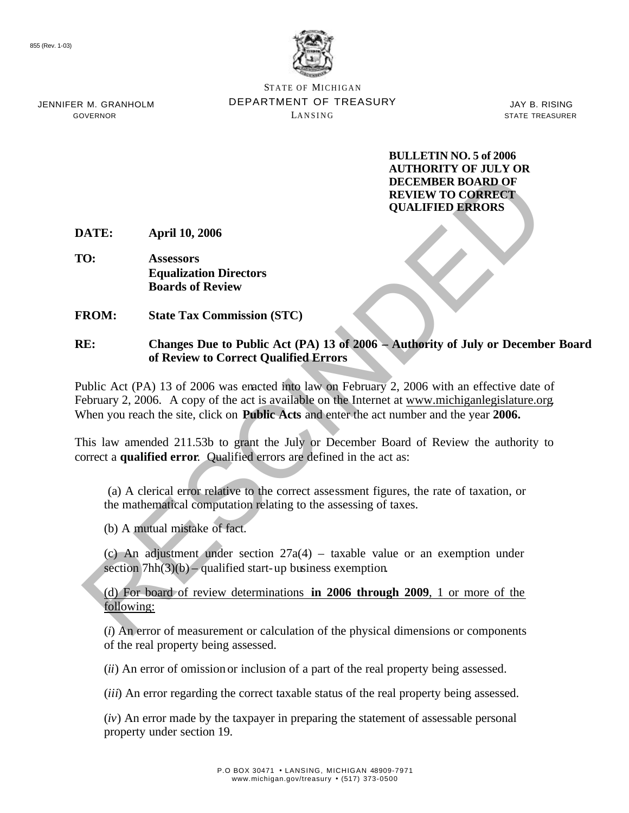

STATE OF MICHIGAN DEPARTMENT OF TREASURY LANSING

JAY B. RISING STATE TREASURER

**BULLETIN NO. 5 of 2006 AUTHORITY OF JULY OR DECEMBER BOARD OF REVIEW TO CORRECT QUALIFIED ERRORS**

**DATE: April 10, 2006**

**TO: Assessors Equalization Directors Boards of Review**

**FROM: State Tax Commission (STC)**

#### **RE: Changes Due to Public Act (PA) 13 of 2006 – Authority of July or December Board of Review to Correct Qualified Errors**

**EXECUTE ADVALUATE:**<br> **EXECUTE ADVALUATE:**<br> **EXECUTE ADVALUATE:**<br> **EXECUTE ADVALUATE:**<br> **EXECUTE ADVALUATE:**<br> **EXECUTE ADVALUATE:**<br> **EXECUTE ADVALUATE:**<br> **EXECUTE ADVALUATE:**<br> **EXECUTE ADVALUATE:**<br> **EXECUTE ADVALUATE:**<br> Public Act (PA) 13 of 2006 was enacted into law on February 2, 2006 with an effective date of February 2, 2006.A copy of the act is available on the Internet at www.michiganlegislature.org*.*  When you reach the site, click on **Public Acts** and enter the act number and the year **2006.**

This law amended 211.53b to grant the July or December Board of Review the authority to correct a **qualified error**. Qualified errors are defined in the act as:

 (a) A clerical error relative to the correct assessment figures, the rate of taxation, or the mathematical computation relating to the assessing of taxes.

(b) A mutual mistake of fact.

(c) An adjustment under section 27a(4) – taxable value or an exemption under section 7hh(3)(b) – qualified start-up business exemption.

(d) For board of review determinations **in 2006 through 2009**, 1 or more of the following:

(*i*) An error of measurement or calculation of the physical dimensions or components of the real property being assessed.

(*ii*) An error of omission or inclusion of a part of the real property being assessed.

(*iii*) An error regarding the correct taxable status of the real property being assessed.

(*iv*) An error made by the taxpayer in preparing the statement of assessable personal property under section 19.

JENNIFER M. GRANHOLM GOVERNOR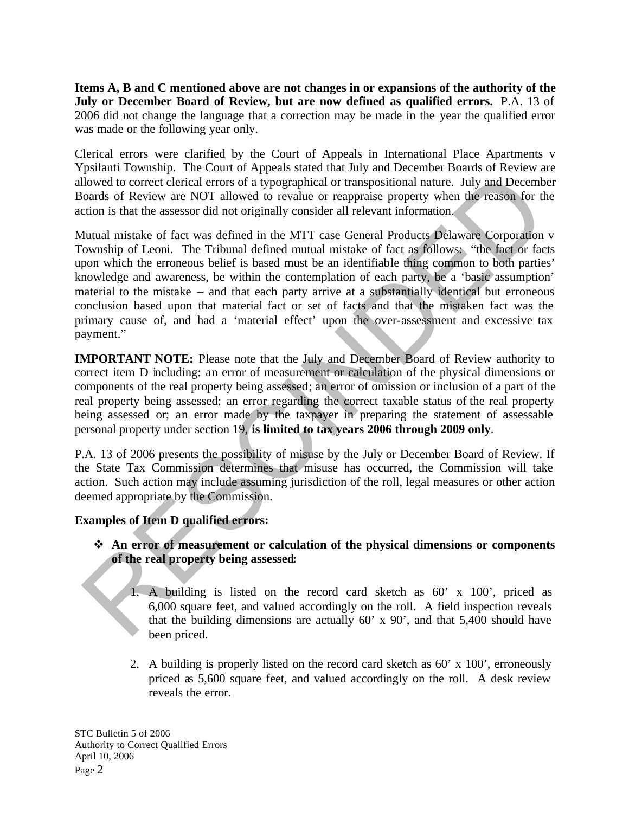**Items A, B and C mentioned above are not changes in or expansions of the authority of the July or December Board of Review, but are now defined as qualified errors.** P.A. 13 of 2006 did not change the language that a correction may be made in the year the qualified error was made or the following year only.

Clerical errors were clarified by the Court of Appeals in International Place Apartments v Ypsilanti Township. The Court of Appeals stated that July and December Boards of Review are allowed to correct clerical errors of a typographical or transpositional nature. July and December Boards of Review are NOT allowed to revalue or reappraise property when the reason for the action is that the assessor did not originally consider all relevant information.

Il owed to correct clerical errors of a typographical or transpositional nature. July and Decemb<br>crion is that the assessor did not originally consider all relevant information.<br>Correct clerical errors of a typography cons Mutual mistake of fact was defined in the MTT case General Products Delaware Corporation v Township of Leoni. The Tribunal defined mutual mistake of fact as follows: "the fact or facts upon which the erroneous belief is based must be an identifiable thing common to both parties' knowledge and awareness, be within the contemplation of each party, be a 'basic assumption' material to the mistake – and that each party arrive at a substantially identical but erroneous conclusion based upon that material fact or set of facts and that the mistaken fact was the primary cause of, and had a 'material effect' upon the over-assessment and excessive tax payment."

**IMPORTANT NOTE:** Please note that the July and December Board of Review authority to correct item D including: an error of measurement or calculation of the physical dimensions or components of the real property being assessed; an error of omission or inclusion of a part of the real property being assessed; an error regarding the correct taxable status of the real property being assessed or; an error made by the taxpayer in preparing the statement of assessable personal property under section 19, **is limited to tax years 2006 through 2009 only**.

P.A. 13 of 2006 presents the possibility of misuse by the July or December Board of Review. If the State Tax Commission determines that misuse has occurred, the Commission will take action. Such action may include assuming jurisdiction of the roll, legal measures or other action deemed appropriate by the Commission.

# **Examples of Item D qualified errors:**

## v **An error of measurement or calculation of the physical dimensions or components of the real property being assessed:**

- 1. A building is listed on the record card sketch as 60' x 100', priced as 6,000 square feet, and valued accordingly on the roll. A field inspection reveals that the building dimensions are actually 60' x 90', and that 5,400 should have been priced.
- 2. A building is properly listed on the record card sketch as 60' x 100', erroneously priced as 5,600 square feet, and valued accordingly on the roll. A desk review reveals the error.